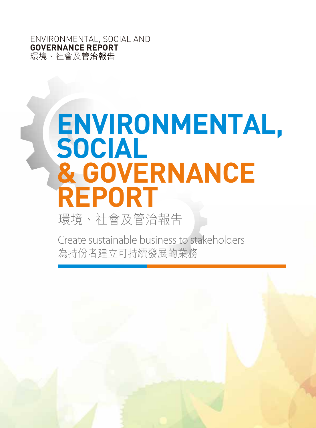# **ENVIRONMENTAL, SOCIAL & GOVERNANCE REPORT**

環境、社會及管治報告

Create sustainable business to stakeholders 為持份者建立可持續發展的業務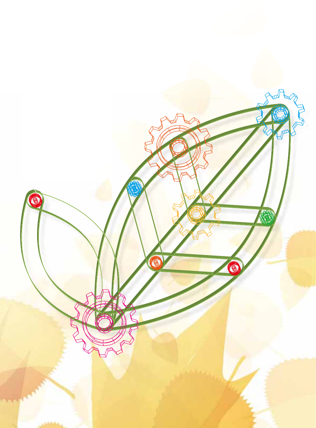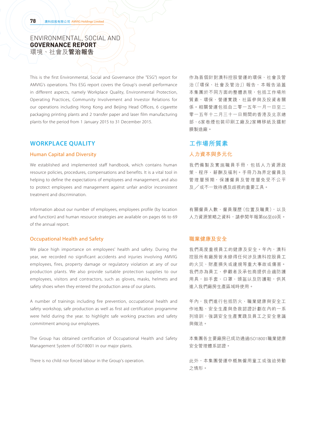This is the first Environmental, Social and Governance (the "ESG") report for AMVIG's operations. This ESG report covers the Group's overall performance in different aspects, namely Workplace Quality, Environmental Protection, Operating Practices, Community Involvement and Investor Relations for our operations including Hong Kong and Beijing Head Offices, 6 cigarette packaging printing plants and 2 transfer paper and laser film manufacturing plants for the period from 1 January 2015 to 31 December 2015.

# **WORKPLACE QUALITY**

#### Human Capital and Diversity

We established and implemented staff handbook, which contains human resource policies, procedures, compensations and benefits. It is a vital tool in helping to define the expectations of employees and management, and also to protect employees and management against unfair and/or inconsistent treatment and discrimination.

Information about our number of employees, employees profile (by location and function) and human resource strategies are available on pages 66 to 69 of the annual report.

#### Occupational Health and Safety

We place high importance on employees' health and safety. During the year, we recorded no significant accidents and injuries involving AMVIG employees, fires, property damage or regulatory violation at any of our production plants. We also provide suitable protection supplies to our employees, visitors and contractors, such as gloves, masks, helmets and safety shoes when they entered the production area of our plants.

A number of trainings including fire prevention, occupational health and safety workshop, safe production as well as first aid certification programme were held during the year. to highlight safe working practises and safety commitment among our employees.

The Group has obtained certification of Occupational Health and Safety Management System of ISO18001 in our major plants.

There is no child nor forced labour in the Group's operation.

作為首個針對澳科控股營運的環保、社會及管 治(「環保、社會及管治」)報告,本報告涵蓋 本集團於不同方面的整體表現,包括工作場所 質素、環保、營運實踐、社區參與及投資者關 係。相關營運包括自二零一五年一月一日至二 零一五年十二月三十一日期間的香港及北京總 部、6家卷煙包裝印刷工廠及2家轉移紙及鐳射 膜製造廠。

# **工作場所質素**

#### 人力資本與多元化

我們備製及實施職員手冊,包括人力資源政 策、程序、薪酬及福利。手冊乃為界定僱員及 管理層預期,保護僱員及管理層免受不公平 及╱或不一致待遇及歧視的重要工具。

有關僱員人數、僱員履歷(位置及職責),以及 人力資源策略之資料,請參閱年報第66至69頁。

#### 職業健康及安全

我們高度重視員工的健康及安全。年內,澳科 控股所有廠房皆未錄得任何涉及澳科控股員工 的火災、財產損失或違規等重大事故或傷害。 我們亦為員工、參觀者及承包商提供合適防護 用具,如手套、口罩、頭盔以及防護鞋,供其 進入我們廠房生產區域時使用。

年內,我們進行包括防火、職業健康與安全工 作地點、安全生產與急救認證計劃在內的一系 列培訓,強調安全生產實踐及員工之安全意識 與做法。

本集團各主要廠房已成功通過ISO18001職業健康 安全管理體系認證。

此外,本集團營運中概無僱用童工或強迫勞動 之情形。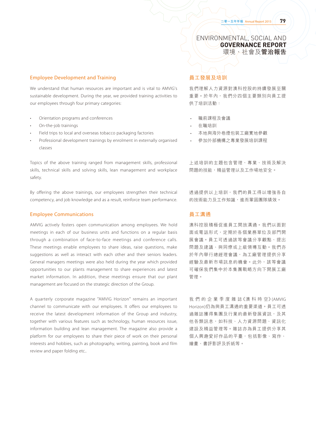#### Employee Development and Training

We understand that human resources are important and is vital to AMVIG's sustainable development. During the year, we provided training activities to our employees through four primary categories:

- Orientation programs and conferences
- On-the-job trainings
- Field trips to local and overseas tobacco packaging factories
- Professional development trainings by enrolment in externally organised classes

Topics of the above training ranged from management skills, professional skills, technical skills and solving skills, lean management and workplace safety.

By offering the above trainings, our employees strengthen their technical competency, and job knowledge and as a result, reinforce team performance.

#### Employee Communications

AMVIG actively fosters open communication among employees. We hold meetings in each of our business units and functions on a regular basis through a combination of face-to-face meetings and conference calls. These meetings enable employees to share ideas, raise questions, make suggestions as well as interact with each other and their seniors leaders. General managers meetings were also held during the year which provided opportunities to our plants management to share experiences and latest market information. In addition, these meetings ensure that our plant management are focused on the strategic direction of the Group.

A quarterly corporate magazine "AMVIG Horizon" remains an important channel to communicate with our employees. It offers our employees to receive the latest development information of the Group and industry, together with various features such as technology, human resources issue, information building and lean management. The magazine also provide a platform for our employees to share their piece of work on their personal interests and hobbies, such as photography, writing, painting, book and film review and paper folding etc..

#### 員工發展及培訓

我們理解人力資源對澳科控股的持續發展至關 重要。於年內,我們分四個主要類別向員工提 供了培訓活動:

- 職前課程及會議
- 在職培訓
- 本地與海外卷煙包裝工廠實地參觀
- 參加外部機構之專業發展培訓課程

上述培訓的主題包含管理、專業、技術及解決 問題的技能,精益管理以及工作場地安全。

透過提供以上培訓,我們的員工得以增強各自 的技術能力及工作知識,進而鞏固團隊績效。

#### 員工溝通

澳科控股積極促進員工開放溝通。我們以面對 面或電話形式,定期於各個業務單位及部門開 展會議。員工可透過該等會議分享觀點、提出 問題及建議、與同僚或上級領導互動。我們亦 於年內舉行總經理會議,為工廠管理提供分享 經驗及最新市場訊息的機會。此外,該等會議 可確保我們集中於本集團戰略方向下開展工廠 管理。

我 們 的 企 業 季 度 雜 誌《澳 科 時 空》(AMVIG Horizon)仍為與員工溝通的重要渠道。員工可透 過雜誌獲得集團及行業的最新發展資訊,及其 他各類訊息,如科技、人力資源問題、資訊化 建設及精益管理等。雜誌亦為員工提供分享其 個人興趣愛好作品的平臺,包括影像、寫作、 繪畫、書評影評及折紙等。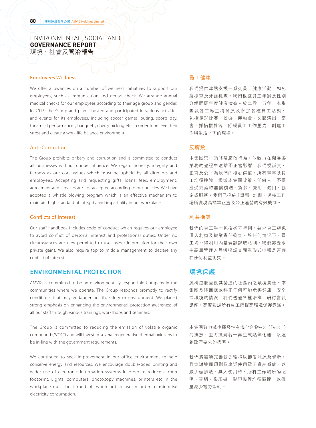### Employees Wellness

We offer allowances on a number of wellness initiatives to support our employees, such as immunization and dental check. We arrange annual medical checks for our employees according to their age group and gender. In 2015, the Group and plants hosted and participated in various activities and events for its employees, including soccer games, outing, sports day, theatrical performances, banquets, cherry picking etc. in order to relieve their stress and create a work-life balance environment.

#### Anti-Corruption

The Group prohibits bribery and corruption and is committed to conduct all businesses without undue influence. We regard honesty, integrity and fairness as our core values which must be upheld by all directors and employees. Accepting and requesting gifts, loans, fees, employment, agreement and services are not accepted according to our policies. We have adopted a whistle blowing program which is an effective mechanism to maintain high standard of integrity and impartiality in our workplace.

#### Conflicts of Interest

Our staff handbook includes code of conduct which requires our employee to avoid conflict of personal interest and professional duties. Under no circumstances are they permitted to use insider information for their own private gains. We also require top to middle management to declare any conflict of interest.

#### **ENVIRONMENTAL PROTECTION**

AMVIG is committed to be an environmentally responsible Company in the communities where we operate. The Group responds promptly to rectify conditions that may endanger health, safety or environment. We placed strong emphasis on enhancing the environmental protection awareness of all our staff through various trainings, workshops and seminars.

The Group is committed to reducing the emission of volatile organic compound ("VOC") and will invest in several regenerative thermal oxidizers to be in-line with the government requirements.

We continued to seek improvement in our office environment to help conserve energy and resources. We encourage double-sided printing and wider use of electronic information systems in order to reduce carbon footprint. Lights, computers, photocopy machines, printers etc in the workplace must be turned off when not in use in order to minimise electricity consumption.

#### 員工健康

我們提供津貼支援一系列員工健康活動,如免 疫檢查及牙齒檢查。我們根據員工年齡及性別 分組開展年度健康檢查。於二零一五年,本集 團及各工廠主持開展及參加各種員工活動, 包括足球比賽、郊遊、運動會、文藝演出、宴 會、採摘櫻桃等,舒緩員工工作壓力,創建工 作與生活平衡的環境。

#### 反腐敗

本集團禁止賄賂及腐敗行為,並致力在開展各 業務的過程中遠離不正當影響。我們視誠實、 正直及公平為我們的核心價值,所有董事及員 工均須擁護。根據本集團政策,任何人士不得 接受或索取無償饋贈、貸款、費用、僱用、協 定或服務。我們已採納「舉報」計劃,保持工作 場所實現高標準正直及公正運營的有效機制。

#### 利益衝突

我們的員工手冊包括操守準則,要求員工避免 個人利益及職業責任衝突。於任何情況下,員 工均不得利用內幕資訊謀取私利。我們亦要求 中高層管理人員透過調查問卷形式申報是否存 在任何利益衝突。

#### **環境保護**

澳科控股重視其營運的社區內之環境責任。本 集團及時回應以糾正任何可能危害健康、安全 或環境的情況。我們透過各種培訓、研討會及 講座,高度強調所有員工應提高環境保護意識。

本集團致力減少揮發性有機化合物VOC(「VOC」) 的排放, 並將投資若干再生式熱氧化器, 以達 到政府要求的標準。

我們將繼續完善辦公環境以節省能源及資源, 且宣導雙面印刷及廣泛使用電子資訊系統,以 減少碳排放。無人使用時,所有工作場所的照 明、電腦、影印機等均須關閉,以儘 量減少電力消耗。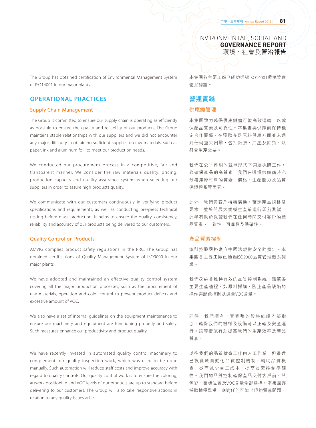**GOVERNANCE REPORT** 環境、社會及**管治報告**

The Group has obtained certification of Environmental Management System of ISO14001 in our major plants.

# **OPERATIONAL PRACTICES**

#### Supply Chain Management

The Group is committed to ensure our supply chain is operating as efficiently as possible to ensure the quality and reliability of our products. The Group maintains stable relationships with our suppliers and we did not encounter any major difficulty in obtaining sufficient supplies on raw materials, such as paper, ink and aluminum foil, to meet our production needs.

We conducted our procurement process in a competitive, fair and transparent manner. We consider the raw materials quality, pricing, production capacity and quality assurance system when selecting our suppliers in order to assure high products quality.

We communicate with our customers continuously in verifying product specifications and requirements, as well as conducting pre-press technical testing before mass production. It helps to ensure the quality, consistency, reliability and accuracy of our products being delivered to our customers.

#### Quality Control on Products

AMVIG complies product safety regulations in the PRC. The Group has obtained certifications of Quality Management System of ISO9000 in our major plants.

We have adopted and maintained an effective quality control system covering all the major production processes, such as the procurement of raw materials, operation and color control to prevent product defects and excessive amount of VOC.

We also have a set of internal guidelines on the equipment maintenance to ensure our machinery and equipment are functioning properly and safely. Such measures enhance our productivity and product quality.

We have recently invested in automated quality control machinery to complement our quality inspection work, which was used to be done manually. Such automation will reduce staff costs and improve accuracy with regard to quality controls. Our quality control work is to ensure the coloring, artwork positioning and VOC levels of our products are up to standard before delivering to our customers. The Group will also take responsive actions in relation to any quality issues arise.

本集團各主要工廠已成功通過ISO14001環境管理 體系認證。

ENVIRONMENTAL, SOCIAL AND

#### **營運實踐**

#### 供應鏈管理

本集團致力確保供應鏈盡可能高效運轉,以確 保產品質素及可靠性。本集團與供應商保持穩 定合作關係,在獲取充足原料供應方面並未遇 到任何重大困難,包括紙張、油墨及鋁箔,以 符合生產需要。

我們在公平透明的競爭形式下開展採購工作。 為確保產品的高質素,我們在選擇供應商時充 分考慮原材料的質素、價格、生產能力及品質 保證體系等因素。

此外, 我們與客戶持續溝通, 確定產品規格及 要求,並於開展大規模生產前進行印前測試。 此舉有助於保證我們在任何時間交付客戶的產 品質素、一致性、可靠性及準確性。

#### 產品質素控制

澳科控股嚴格遵守中國法規對安全的規定。本 集團各主要工廠已通過ISO9000品質管理體系認 證。

我們採納並維持有效的品質控制系統,涵蓋各 主要生產過程,如原料採購、防止產品缺陷的 操作與顏色控制及過量VOC含量。

同時,我們擁有一套完整的設施維護內部指 引,確保我們的機械及設備可以正確及安全運 行。該等措施有助提高我們的生產效率及產品 質素。

以往我們的品質檢查工作由人工作業,但最近 已投資於自動化品質控制機制,輔助品質檢 查,從而減少員工成本,提高質素控制準確 性。我們的品質控制確保產品交付客戶前,其 色彩、圖樣位置及VOC含量全部達標。本集團亦 採取積極舉措,應對任何可能出現的質素問題。